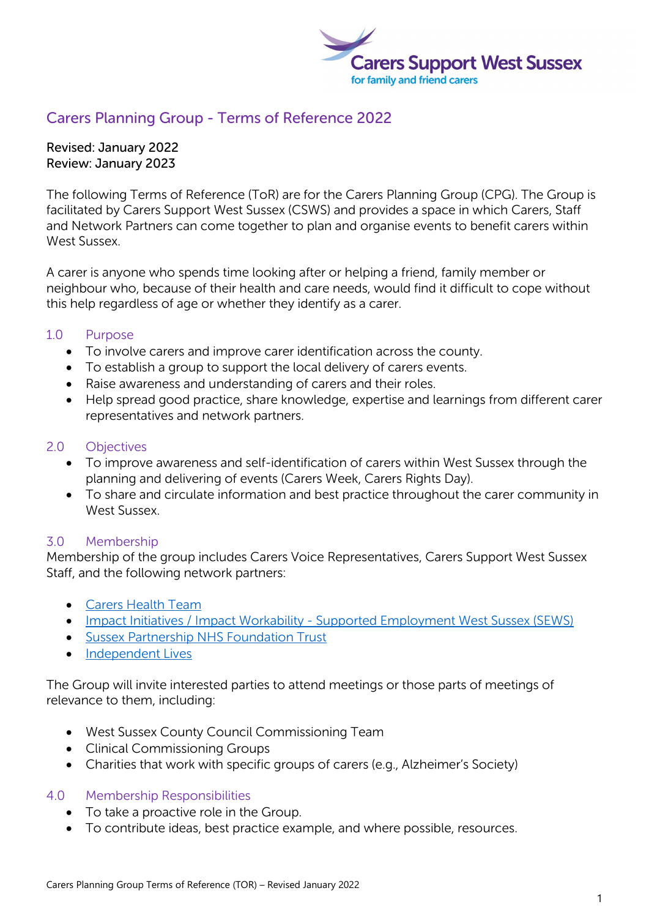

# Carers Planning Group - Terms of Reference 2022

Revised: January 2022 Review: January 2023

The following Terms of Reference (ToR) are for the Carers Planning Group (CPG). The Group is facilitated by Carers Support West Sussex (CSWS) and provides a space in which Carers, Staff and Network Partners can come together to plan and organise events to benefit carers within West Sussex.

A carer is anyone who spends time looking after or helping a friend, family member or neighbour who, because of their health and care needs, would find it difficult to cope without this help regardless of age or whether they identify as a carer.

## 1.0 Purpose

- To involve carers and improve carer identification across the county.
- To establish a group to support the local delivery of carers events.
- Raise awareness and understanding of carers and their roles.
- Help spread good practice, share knowledge, expertise and learnings from different carer representatives and network partners.

## 2.0 Objectives

- To improve awareness and self-identification of carers within West Sussex through the planning and delivering of events (Carers Week, Carers Rights Day).
- To share and circulate information and best practice throughout the carer community in West Sussex.

## 3.0 Membership

Membership of the group includes Carers Voice Representatives, Carers Support West Sussex Staff, and the following network partners:

- [Carers Health Team](https://www.sussexcommunity.nhs.uk/services/carers-health-team/108921)
- [Impact Initiatives / Impact Workability](https://www.supportedemploymentwestsussex.org/) Supported Employment West Sussex (SEWS)
- [Sussex Partnership NHS Foundation Trust](https://www.sussexpartnership.nhs.uk/useful-resources-family-and-friend-carers)
- [Independent](https://www.independentlives.org/) Lives

The Group will invite interested parties to attend meetings or those parts of meetings of relevance to them, including:

- West Sussex County Council Commissioning Team
- Clinical Commissioning Groups
- Charities that work with specific groups of carers (e.g., Alzheimer's Society)

## 4.0 Membership Responsibilities

- To take a proactive role in the Group.
- To contribute ideas, best practice example, and where possible, resources.